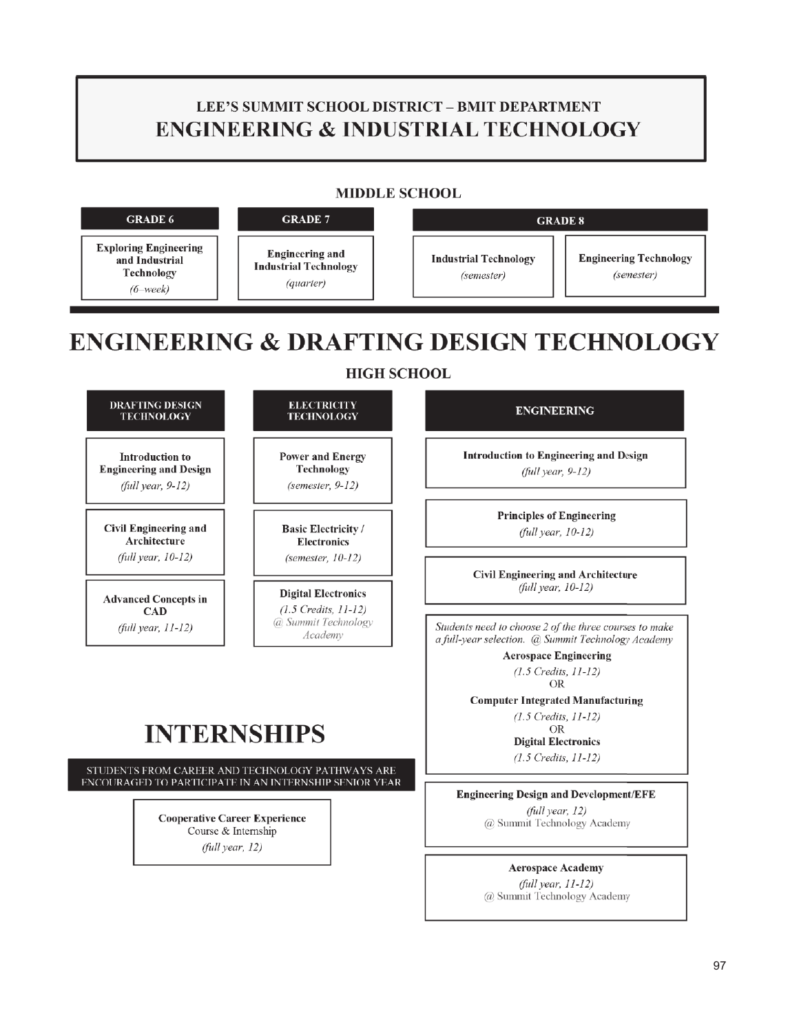## **LEE'S SUMMIT SCHOOL DISTRICT - BMIT DEPARTMENT ENGINEERING & INDUSTRIAL TECHNOLOGY**

## **MIDDLE SCHOOL**



**INTERNSHIPS** 

STUDENTS FROM CAREER AND TECHNOLOGY PATHWAYS ARE ENCOURAGED TO PARTICIPATE IN AN INTERNSHIP SENIOR YEAR

> **Cooperative Career Experience** Course & Internship (full year, 12)

**Engineering Design and Development/EFE** 

**OR Digital Electronics**  $(1.5 \text{ Credits}, 11-12)$ 

**Aerospace Engineering**  $(1.5$  Credits,  $11-12)$ OR **Computer Integrated Manufacturing**  $(1.5 \text{ Creatits}, 11-12)$ 

(full year, 12) @ Summit Technology Academy

> **Aerospace Academy** (full year, 11-12)

@ Summit Technology Academy